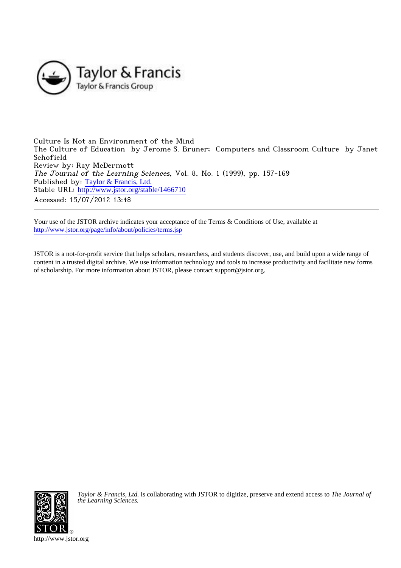

Culture Is Not an Environment of the Mind The Culture of Education by Jerome S. Bruner; Computers and Classroom Culture by Janet Schofield Review by: Ray McDermott The Journal of the Learning Sciences, Vol. 8, No. 1 (1999), pp. 157-169 Published by: [Taylor & Francis, Ltd.](http://www.jstor.org/action/showPublisher?publisherCode=taylorfrancis) Stable URL: [http://www.jstor.org/stable/1466710](http://www.jstor.org/stable/1466710?origin=JSTOR-pdf) Accessed: 15/07/2012 13:48

Your use of the JSTOR archive indicates your acceptance of the Terms & Conditions of Use, available at <http://www.jstor.org/page/info/about/policies/terms.jsp>

JSTOR is a not-for-profit service that helps scholars, researchers, and students discover, use, and build upon a wide range of content in a trusted digital archive. We use information technology and tools to increase productivity and facilitate new forms of scholarship. For more information about JSTOR, please contact support@jstor.org.



*Taylor & Francis, Ltd.* is collaborating with JSTOR to digitize, preserve and extend access to *The Journal of the Learning Sciences.*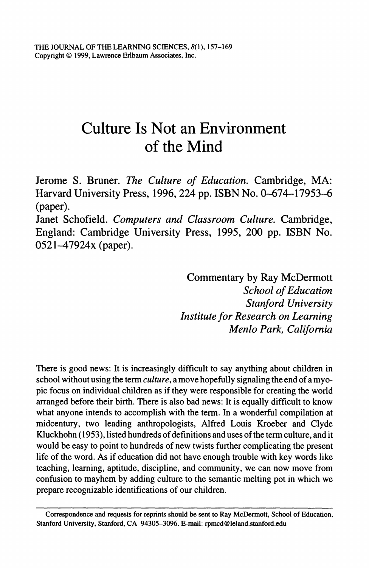# **Culture Is Not an Environment of the Mind**

Jerome S. Bruner. *The Culture of Education.* Cambridge, MA: Harvard University Press, 1996, 224 pp. ISBN No. 0-674-17953-6 (paper).

Janet Schofield. *Computers and Classroom Culture.* Cambridge, England: Cambridge University Press, 1995, 200 pp. ISBN No. 0521-47924x (paper).

> Commentary by Ray McDermott *School of Education Stanford University Institute for Research on Leaming Menlo Park, California*

There is good news: It is increasingly difficult to say anything about children in school without using the term *culture,* a move hopefully signaling the end of a myopic focus on individual children as if they were responsible for creating the world arranged before their birth. There is also bad news: It is equally difficult to know what anyone intends to accomplish with the term. In a wonderful compilation at midcentury, two leading anthropologists, Alfred Louis Kroeber and Clyde Kluckhohn (1953), listed hundreds of definitions and uses of the term culture, and it would be easy to point to hundreds of new twists further complicating the present life of the word. As if education did not have enough trouble with key words like teaching, learning, aptitude, discipline, and community, we can now move from confusion to mayhem by adding culture to the semantic melting pot in which we prepare recognizable identifications of our children.

Correspondence and requests for reprints should be sent to Ray McDermott, School of Education, Stanford University, Stanford, CA 94305-3096. E-mail: rpmcd@leland.stanford.edu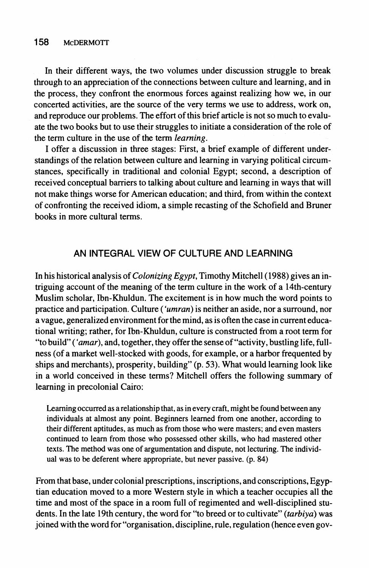In their different ways, the two volumes under discussion struggle to break through to an appreciation of the connections between culture and learning, and in the process, they confront the enormous forces against realizing how we, in our concerted activities, are the source of the very terms we use to address, work on, and reproduce our problems. The effort of this brief article is not so much to evaluate the two books but to use their struggles to initiate a consideration of the role of the term culture in the use of the term learning.

I offer a discussion in three stages: First, a brief example of different understandings of the relation between culture and learning in varying political circumstances, specifically in traditional and colonial Egypt; second, a description of received conceptual barriers to talking about culture and learning in ways that will not make things worse for American education; and third, from within the context of confronting the received idiom, a simple recasting of the Schofield and Bruner books in more cultural terms.

### AN INTEGRAL VIEW OF CULTURE AND LEARNING

In his historical analysis of Colonizing Egypt, Timothy Mitchell (1988) gives an intriguing account of the meaning of the term culture in the work of a 14th-century Muslim scholar, Ibn-Khuldun. The excitement is in how much the word points to practice and participation. Culture ('umran) is neither an aside, nor a surround, nor a vague, generalized environment for the mind, as is often the case in current educational writing; rather, for Ibn-Khuldun, culture is constructed from a root term for "to build" ('amar), and, together, they offer the sense of "activity, bustling life, fullness ( of a market well-stocked with goods, for example, or a harbor frequented by ships and merchants), prosperity, building" (p. 53). What would learning look like in a world conceived in these terms? Mitchell offers the following summary of learning in precolonial Cairo:

Learning occurred as a relationship that, as in every craft, might be found between any individuals at almost any point. Beginners learned from one another, according to their different aptitudes, as much as from those who were masters; and even masters continued to learn from those who possessed other skills, who had mastered other texts. The method was one of argumentation and dispute, not lecturing. The individual was to be deferent where appropriate, but never passive. (p. 84)

From that base, under colonial prescriptions, inscriptions, and conscriptions, Egyptian education moved to a more Western style in which a teacher occupies all the time and most of the space in a room full of regimented and well-disciplined students. In the late 19th century, the word for "to breed or to cultivate" (tarbiya) was joined with the word for "organisation, discipline, rule, regulation (hence even gov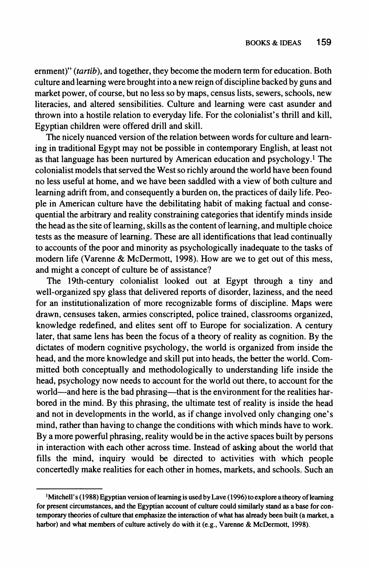ernment)" *(tartib)*, and together, they become the modern term for education. Both culture and learning were brought into a new reign of discipline backed by guns and market power, of course, but no less so by maps, census lists, sewers, schools, new literacies, and altered sensibilities. Culture and learning were cast asunder and thrown into a hostile relation to everyday life. For the colonialist's thrill and kill, Egyptian children were offered drill and skill.

The nicely nuanced version of the relation between words for culture and learning in traditional Egypt may not be possible in contemporary English, at least not as that language has been nurtured by American education and psychology .1 The colonialist models that served the West so richly around the world have been found no less useful at home, and we have been saddled with a view of both culture and learning adrift from, and consequently a burden on, the practices of daily life. People in American culture have the debilitating habit of making factual and consequential the arbitrary and reality constraining categories that identify minds inside the head as the site of learning, skills as the content of learning, and multiple choice tests as the measure of learning. These are all identifications that lead continually to accounts of the poor and minority as psychologically inadequate to the tasks of modern life (Varenne & McDermott, 1998). How are we to get out of this mess, and might a concept of culture be of assistance?

The 19th-century colonialist looked out at Egypt through a tiny and well-organized spy glass that delivered reports of disorder, laziness, and the need for an institutionalization of more recognizable forms of discipline. Maps were drawn, censuses taken, armies conscripted, police trained, classrooms organized, knowledge redefined, and elites sent off to Europe for socialization. A century later, that same lens has been the focus of a theory of reality as cognition. By the dictates of modern cognitive psychology, the world is organized from inside the head, and the more knowledge and skill put into heads, the better the world. Committed both conceptually and methodologically to understanding life inside the head, psychology now needs to account for the world out there, to account for the world—and here is the bad phrasing—that is the environment for the realities harbored in the mind. By this phrasing, the ultimate test of reality is inside the head and not in developments in the world, as if change involved only changing one's mind, rather than having to change the conditions with which minds have to work. By a more powerful phrasing, reality would be in the active spaces built by persons in interaction with each other across time. Instead of asking about the world that fills the mind, inquiry would be directed to activities with which people concertedly make realities for each other in homes, markets, and schools. Such an

<sup>1</sup>Mitchell' s (1988) Egyptian version ofleaming is used by Lave (1996) to explore a theory oflearning for present circumstances, and the Egyptian account of culture could similarly stand as a base for contemporary theories of culture that emphasize the interaction of what has already been built (a market, a harbor) and what members of culture actively do with it (e.g., Varenne & McDermott, 1998).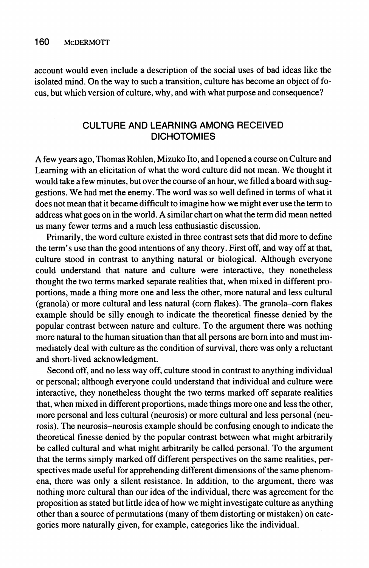account would even include a description of the social uses of bad ideas like the isolated mind. On the way to such a transition, culture has become an object of focus, but which version of culture, why, and with what purpose and consequence?

#### **CULTURE AND LEARNING AMONG RECEIVED DICHOTOMIES**

A few years ago, Thomas Rohlen, Mizuko Ito, and I opened a course on Culture and Learning with an elicitation of what the word culture did not mean. We thought it would take afew minutes, but over the course of an hour, we filled a board with suggestions. We had met the enemy. The word was so well defined in terms of what it does not mean that it became difficult to imagine how we might ever use the term to address what goes on in the world. A similar chart on what the term did mean netted us many fewer terms and a much less enthusiastic discussion.

Primarily, the word culture existed in three contrast sets that did more to define the term's use than the good intentions of any theory. First off, and way off at that, culture stood in contrast to anything natural or biological. Although everyone could understand that nature and culture were interactive, they nonetheless thought the two terms marked separate realities that, when mixed in different proportions, made a thing more one and less the other, more natural and less cultural (granola) or more cultural and less natural (corn flakes). The granola-corn flakes example should be silly enough to indicate the theoretical finesse denied by the popular contrast between nature and culture. To the argument there was nothing more natural to the human situation than that all persons are born into and must immediately deal with culture as the condition of survival, there was only a reluctant and short-lived acknowledgment.

Second off, and no less way off, culture stood in contrast to anything individual or personal; although everyone could understand that individual and culture were interactive, they nonetheless thought the two terms marked off separate realities that, when mixed in different proportions, made things more one and less the other, more personal and less cultural (neurosis) or more cultural and less personal (neurosis). The neurosis-neurosis example should be confusing enough to indicate the theoretical finesse denied by the popular contrast between what might arbitrarily be called cultural and what might arbitrarily be called personal. To the argument that the terms simply marked off different perspectives on the same realities, perspectives made useful for apprehending different dimensions of the same phenomena, there was only a silent resistance. In addition, to the argument, there was nothing more cultural than our idea of the individual, there was agreement for the proposition as stated but little idea of how we might investigate culture as anything other than a source of permutations (many of them distorting or mistaken) on categories more naturally given, for example, categories like the individual.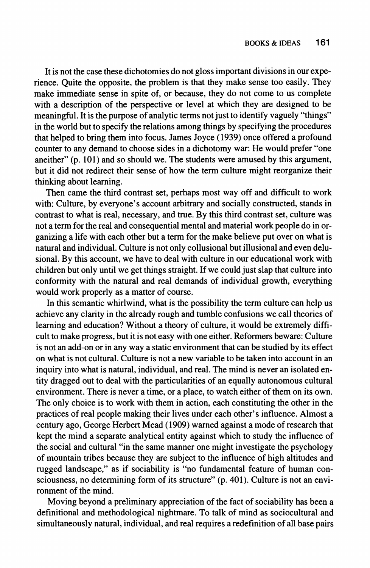It is not the case these dichotomies do not gloss important divisions in our experience. Quite the opposite, the problem is that they make sense too easily. They make immediate sense in spite of, or because, they do not come to us complete with a description of the perspective or level at which they are designed to be meaningful. It is the purpose of analytic terms not just to identify vaguely "things" in the world but to specify the relations among things by specifying the procedures that helped to bring them into focus. James Joyce (1939) once offered a profound counter to any demand to choose sides in a dichotomy war: He would prefer "one aneither" (p. 101) and so should we. The students were amused by this argument, but it did not redirect their sense of how the term culture might reorganize their thinking about learning.

Then came the third contrast set, perhaps most way off and difficult to work with: Culture, by everyone's account arbitrary and socially constructed, stands in contrast to what is real, necessary, and true. By this third contrast set, culture was not a term for the real and consequential mental and material work people do in organizing a life with each other but a term for the make believe put over on what is natural and individual. Culture is not only collusional but illusional and even delusional. By this account, we have to deal with culture in our educational work with children but only until we get things straight. If we could just slap that culture into conformity with the natural and real demands of individual growth, everything would work properly as a matter of course.

In this semantic whirlwind, what is the possibility the term culture can help us achieve any clarity in the already rough and tumble confusions we call theories of learning and education? Without a theory of culture, it would be extremely difficult to make progress, but it is not easy with one either. Reformers beware: Culture is not an add-on or in any way a static environment that can be studied by its effect on what is not cultural. Culture is not a new variable to be taken into account in an inquiry into what is natural, individual, and real. The mind is never an isolated entity dragged out to deal with the particularities of an equally autonomous cultural environment. There is never a time, or a place, to watch either of them on its own. The only choice is to work with them in action, each constituting the other in the practices of real people making their lives under each other's influence. Almost a century ago, George Herbert Mead ( 1909) warned against a mode of research that kept the mind a separate analytical entity against which to study the influence of the social and cultural "in the same manner one might investigate the psychology of mountain tribes because they are subject to the influence of high altitudes and rugged landscape," as if sociability is "no fundamental feature of human consciousness, no determining form of its structure" (p. 401). Culture is not an environment of the mind.

Moving beyond a preliminary appreciation of the fact of sociability has been a definitional and methodological nightmare. To talk of mind as sociocultural and simultaneously natural, individual, and real requires a redefinition of all base pairs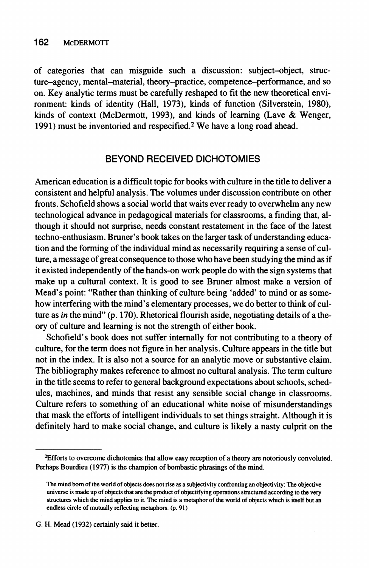of categories that can misguide such a discussion: subject-object, structure-agency, mental-material, theory-practice, competence-performance, and so on. Key analytic terms must be carefully reshaped to fit the new theoretical environment: kinds of identity (Hall, 1973), kinds of function (Silverstein, 1980), kinds of context (McDermott, 1993), and kinds of learning (Lave & Wenger, 1991) must be inventoried and respecified.<sup>2</sup> We have a long road ahead.

#### BEYOND RECEIVED DICHOTOMIES

American education is a difficult topic for books with culture in the title to deliver a consistent and helpful analysis. The volumes under discussion contribute on other fronts. Schofield shows a social world that waits ever ready to overwhelm any new technological advance in pedagogical materials for classrooms, a finding that, although it should not surprise, needs constant restatement in the face of the latest techno-enthusiasm. Bruner's book takes on the larger task of understanding education and the forming of the individual mind as necessarily requiring a sense of culture, a message of great consequence to those who have been studying the mind as if it existed independently of the hands-on work people do with the sign systems that make up a cultural context. It is good to see Bruner almost make a version of Mead's point: "Rather than thinking of culture being 'added' to mind or as somehow interfering with the mind's elementary processes, we do better to think of culture as *in* the mind" (p. 170). Rhetorical flourish aside, negotiating details of a theory of culture and learning is not the strength of either book.

Schofield's book does not suffer internally for not contributing to a theory of culture, for the term does not figure in her analysis. Culture appears in the title but not in the index. It is also not a source for an analytic move or substantive claim. The bibliography makes reference to almost no cultural analysis. The term culture in the title seems to refer to general background expectations about schools, schedules, machines, and minds that resist any sensible social change in classrooms. Culture refers to something of an educational white noise of misunderstandings that mask the efforts of intelligent individuals to set things straight. Although it is definitely hard to make social change, and culture is likely a nasty culprit on the

<sup>2</sup>Efforts to overcome dichotomies that allow easy reception of a theory are notoriously convoluted. Perhaps Bourdieu (1977) is the champion of bombastic phrasings of the mind.

The mind born of the world of objects does not rise as a subjectivity confronting an objectivity: The objective universe is made up of objects that are the product of objectifying operations structured according to the very structures which the mind applies to it. The mind is a metaphor of the world of objects which is itself but an endless circle of mutually reflecting metaphors. (p. 91)

G. H. Mead (1932) certainly said it better.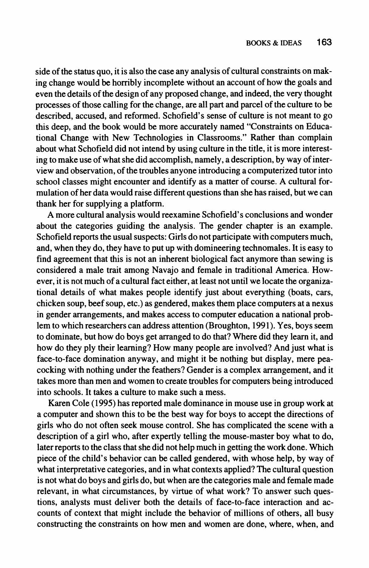side of the status quo, it is also the case any analysis of cultural constraints on making change would be horribly incomplete without an account of how the goals and even the details of the design of any proposed change, and indeed, the very thought processes of those calling for the change, are all part and parcel of the culture to be described, accused, and reformed. Schofield's sense of culture is not meant to go this deep, and the book would be more accurately named "Constraints on Educational Change with New Technologies in Classrooms." Rather than complain about what Schofield did not intend by using culture in the title, it is more interesting to make use of what she did accomplish, namely, a description, by way of interview and observation, of the troubles anyone introducing a computerized tutor into school classes might encounter and identify as a matter of course. A cultural formulation of her data would raise different questions than she has raised, but we can thank her for supplying a platform.

A more cultural analysis would reexamine Schofield's conclusions and wonder about the categories guiding the analysis. The gender chapter is an example. Schofield reports the usual suspects: Girls do not participate with computers much, and, when they do, they have to put up with domineering technomales. It is easy to find agreement that this is not an inherent biological fact anymore than sewing is considered a male trait among Navajo and female in traditional America. However, it is not much of a cultural fact either, at least not until we locate the organizational details of what makes people identify just about everything (boats, cars, chicken soup, beef soup, etc.) as gendered, makes them place computers at a nexus in gender arrangements, and makes access to computer education a national problem to which researchers can address attention (Broughton, 1991). Yes, boys seem to dominate, but how do boys get arranged to do that? Where did they learn it, and how do they ply their learning? How many people are involved? And just what is face-to-face domination anyway, and might it be nothing but display, mere peacocking with nothing under the feathers? Gender is a complex arrangement, and it talces more than men and women to create troubles for computers being introduced into schools. It takes a culture to make such a mess.

Karen Cole ( 1995) has reported male dominance in mouse use in group work at a computer and shown this to be the best way for boys to accept the directions of girls who do not often seek mouse control. She has complicated the scene with a description of a girl who, after expertly telling the mouse-master boy what to do, later reports to the class that she did not help much in getting the work done. Which piece of the child's behavior can be called gendered, with whose help, by way of what interpretative categories, and in what contexts applied? The cultural question is not what do boys and girls do, but when are the categories male and female made relevant, in what circumstances, by virtue of what work? To answer such questions, analysts must deliver both the details of face-to-face interaction and accounts of context that might include the behavior of millions of others, all busy constructing the constraints on how men and women are done, where, when, and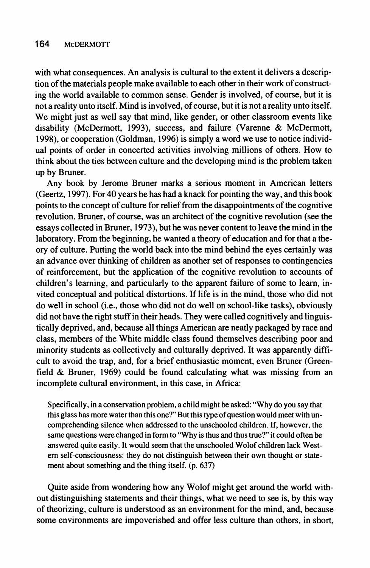with what consequences. An analysis is cultural to the extent it delivers a description of the materials people make available to each other in their work of constructing the world available to common sense. Gender is involved, of course, but it is not a reality unto itself. Mind is involved, of course, but it is not a reality unto itself. We might just as well say that mind, like gender, or other classroom events like disability (McDermott, 1993), success, and failure (Varenne & McDermott, 1998), or cooperation (Goldman, 1996) is simply a word we use to notice individual points of order in concerted activities involving millions of others. How to think about the ties between culture and the developing mind is the problem taken up by Bruner.

Any book by Jerome Bruner marks a serious moment in American letters (Geertz, 1997). For 40 years he has had a knack for pointing the way, and this book points to the concept of culture for relief from the disappointments of the cognitive revolution. Bruner, of course, was an architect of the cognitive revolution (see the essays collected in Bruner, 1973), but he was never content to leave the mind in the laboratory. From the beginning, he wanted a theory of education and for that a theory of culture. Putting the world back into the mind behind the eyes certainly was an advance over thinking of children as another set of responses to contingencies of reinforcement, but the application of the cognitive revolution to accounts of children's learning, and particularly to the apparent failure of some to learn, invited conceptual and political distortions. If life is in the mind, those who did not do well in school (i.e., those who did not do well on school-like tasks}, obviously did not have the right stuff in their heads. They were called cognitively and linguistically deprived, and, because all things American are neatly packaged by race and class, members of the White middle class found themselves describing poor and minority students as collectively and culturally deprived. It was apparently difficult to avoid the trap, and, for a brief enthusiastic moment, even Bruner (Greenfield & Bruner, 1969) could be found calculating what was missing from an incomplete cultural environment, in this case, in Africa:

Specifically, in a conservation problem, a child might be asked: "Why do you say that this glass has more water than this one?" But this type of question would meet with uncomprehending silence when addressed to the unschooled children. If, however, the same questions were changed in form to "Why is thus and thus true?" it could often be answered quite easily. It would seem that the unschooled Wolof children lack Western self-consciousness: they do not distinguish between their own thought or statement about something and the thing itself. (p. 637)

Quite aside from wondering how any Wolof might get around the world without distinguishing statements and their things, what we need to see is, by this way of theorizing, culture is understood as an environment for the mind, and, because some environments are impoverished and offer less culture than others, in short,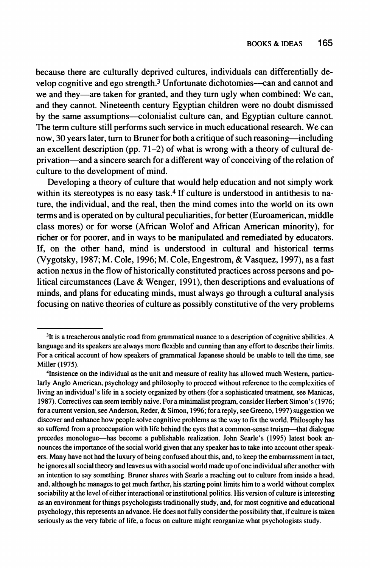because there are culturally deprived cultures, individuals can differentially develop cognitive and ego strength.<sup>3</sup> Unfortunate dichotomies—can and cannot and we and they—are taken for granted, and they turn ugly when combined: We can, and they cannot. Nineteenth century Egyptian children were no doubt dismissed by the same assumptions—colonialist culture can, and Egyptian culture cannot. The term culture still performs such service in much educational research. We can now, 30 years later, turn to Bruner for both a critique of such reasoning—including an excellent description (pp.  $71-2$ ) of what is wrong with a theory of cultural deprivation—and a sincere search for a different way of conceiving of the relation of culture to the development of mind.

Developing a theory of culture that would help education and not simply work within its stereotypes is no easy task.<sup>4</sup> If culture is understood in antithesis to nature, the individual, and the real, then the mind comes into the world on its own terms and is operated on by cultural peculiarities, for better (Euroamerican, middle class mores) or for worse (African Wolof and African American minority}, for richer or for poorer, and in ways to be manipulated and remediated by educators. If, on the other hand, mind is understood in cultural and historical terms (Vygotsky, 1987; M. Cole, 1996; M. Cole, Engestrom, & Vasquez, 1997), as a fast action nexus in the flow of historically constituted practices across persons and political circumstances (Lave & Wenger, 1991), then descriptions and evaluations of minds, and plans for educating minds, must always go through a cultural analysis focusing on native theories of culture as possibly constitutive of the very problems

<sup>&</sup>lt;sup>3</sup>It is a treacherous analytic road from grammatical nuance to a description of cognitive abilities. A language and its speakers are always more flexible and cunning than any effort to describe their limits. For a critical account of how speakers of grammatical Japanese should be unable to tell the time, see Miller (1975).

<sup>4</sup>lnsistence on the individual as the unit and measure of reality has allowed much Western, particularly Anglo American, psychology and philosophy to proceed without reference to the complexities of living an individual's life in a society organized by others (for a sophisticated treatment, see Manicas, 1987). Correctives can seem terribly naive. For a minimalist program, consider Herbert Simon's (1976; for a current version, see Anderson, Reder, & Simon, 1996; for a reply, see Greeno, 1997) suggestion we discover and enhance how people solve cognitive problems as the way to fix the world. Philosophy has so suffered from a preoccupation with life behind the eyes that a common-sense truism---that dialogue precedes monologue-has become a publishable realization. John Searle's (1995) latest book announces the importance of the social world given that any speaker has to take into account other speakers. Many have not had the luxury of being confused about this, and, to keep the embarrassment in tact, he ignores all social theory and leaves us with a social world made up ofone individual after another with an intention to say something. Bruner shares with Searle a reaching out to culture from inside a head, and, although he manages to get much farther, his starting point limits him to a world without complex sociability at the level of either interactional or institutional politics. His version of culture is interesting as an environment for things psychologists traditionally study, and, for most cognitive and educational psychology, this represents an advance. He does not fully consider the possibility that, if culture is taken seriously as the very fabric of life, a focus on culture might reorganize what psychologists study.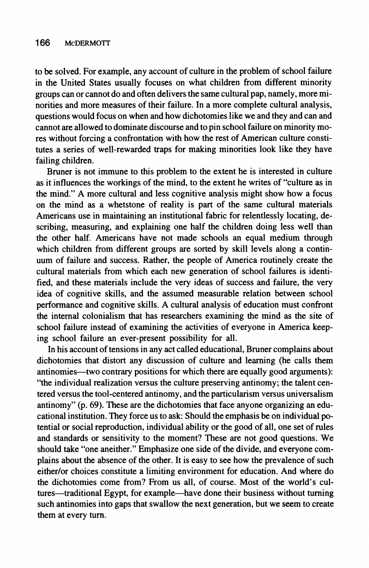to be solved. For example, any account of culture in the problem of school failure in the United States usually focuses on what children from different minority groups can or cannot do and often delivers the same cultural pap, namely, more minorities and more measures of their failure. In a more complete cultural analysis, questions would focus on when and how dichotomies like we and they and can and cannot are allowed to dominate discourse and to pin school failure on minority mores without forcing a confrontation with how the rest of American culture constitutes a series of well-rewarded traps for making minorities look like they have failing children.

Bruner is not immune to this problem to the extent he is interested in culture as it influences the workings of the mind, to the extent he writes of "culture as in the mind." A more cultural and less cognitive analysis might show how a focus on the mind as a whetstone of reality is part of the same cultural materials Americans use in maintaining an institutional fabric for relentlessly locating, describing, measuring, and explaining one half the children doing less well than the other half. Americans have not made schools an equal medium through which children from different groups are sorted by skill levels along a continuum of failure and success. Rather, the people of America routinely create the cultural materials from which each new generation of school failures is identified, and these materials include the very ideas of success and failure, the very idea of cognitive skills, and the assumed measurable relation between school performance and cognitive skills. A cultural analysis of education must confront the internal colonialism that has researchers examining the mind as the site of school failure instead of examining the activities of everyone in America keeping school failure an ever-present possibility for all.

In his account of tensions in any act called educational, Bruner complains about dichotomies that distort any discussion of culture and learning (he calls them antinomies—two contrary positions for which there are equally good arguments): "the individual realization versus the culture preserving antinomy; the talent centered versus the tool-centered antinomy, and the particularism versus universalism antinomy"  $(p. 69)$ . These are the dichotomies that face anyone organizing an educational institution. They force us to ask: Should the emphasis be on individual potential or social reproduction, individual ability or the good of all, one set of rules and standards or sensitivity to the moment? These are not good questions. We should take "one aneither." Emphasize one side of the divide, and everyone complains about the absence of the other. It is easy to see how the prevalence of such either/or choices constitute a limiting environment for education. And where do the dichotomies come from? From us all, of course. Most of the world's cultures—traditional Egypt, for example—have done their business without turning such antinomies into gaps that swallow the next generation, but we seem to create them at every tum.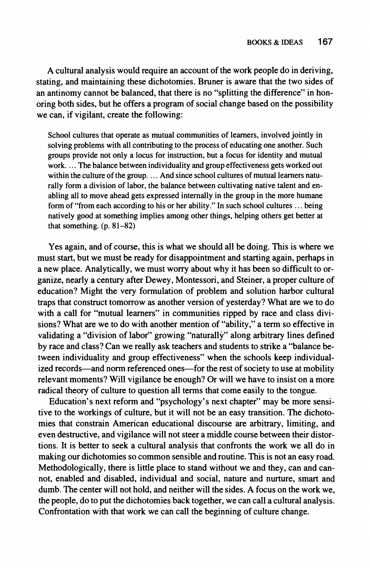A cultural analysis would require an account of the work people do in deriving, stating, and maintaining these dichotomies. Bruner is aware that the two sides of an antinomy cannot be balanced, that there is no "splitting the difference" in honoring both sides, but he offers a program of social change based on the possibility we can, if vigilant, create the following:

School cultures that operate as mutual communities of learners, involved jointly in solving problems with all contributing to the process of educating one another. Such groups provide not only a locus for instruction, but a focus for identity and mutual work .... The balance between individuality and group effectiveness gets worked out within the culture of the group. ... And since school cultures of mutual learners naturally form a division of labor, the balance between cultivating native talent and enabling all to move ahead gets expressed internally in the group in the more humane form of "from each according to his or her ability." In such school cultures ... being natively good at something implies among other things, helping others get better at that something. (p. 81-82)

Yes again, and of course, this is what we should all be doing. This is where we must start, but we must be ready for disappointment and starting again, perhaps in a new place. Analytically, we must worry about why it has been so difficult to organize, nearly a century after Dewey, Montessori, and Steiner, a proper culture of education? Might the very formulation of problem and solution harbor cultural traps that construct tomorrow as another version of yesterday? What are we to do with a call for "mutual learners" in communities ripped by race and class divisions? What are we to do with another mention of "ability," a term so effective in validating a "division of labor" growing "naturally" along arbitrary lines defined by race and class? Can we really ask teachers and students to strike a "balance between individuality and group effectiveness" when the schools keep individualized records-and norm referenced ones-for the rest of society to use at mobility relevant moments? Will vigilance be enough? Or will we have to insist on a more radical theory of culture to question all terms that come easily to the tongue.

Education's next reform and "psychology's next chapter'' may be more sensitive to the workings of culture, but it will not be an easy transition. The dichotomies that constrain American educational discourse are arbitrary, limiting, and even destructive, and vigilance will not steer a middle course between their distortions. It is better to seek a cultural analysis that confronts the work we all do in making our dichotomies so common sensible and routine. This is not an easy road. Methodologically, there is little place to stand without we and they, can and cannot, enabled and disabled, individual and social, nature and nurture, smart and dumb. The center will not hold, and neither will the sides. A focus on the work we, the people, do to put the dichotomies back together, we can call a cultural analysis. Confrontation with that work we can call the beginning of culture change.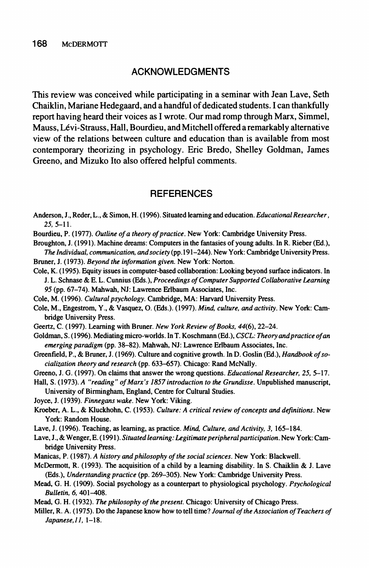## ACKNOWLEDGMENTS

This review was conceived while participating in a seminar with Jean Lave, Seth Chaiklin, Marlane Hedegaard, and a handful of dedicated students. I can thankfully report having heard their voices as I wrote. Our mad romp through Marx, Simmel, Mauss, Levi-Strauss, Hall, Bourdieu, and Mitchell offered a remarkably alternative view of the relations between culture and education than is available from most contemporary theorizing in psychology. Eric Bredo, Shelley Goldman, James Greeno, and Mizuko Ito also offered helpful comments.

# REFERENCES

Anderson, J., Reder, L., & Simon, H. (1996). Situated learning and education. *Educational Researcher, 25,* 5-11.

Bourdieu, P. (1977). *Outline of a theory of practice.* New York: Cambridge University Press.

Broughton, J. (1991). Machine dreams: Computers in the fantasies of young adults. In R. Rieber (Ed.), *The Individual, communication, and society* (pp.191-244). New York: Cambridge University Press.

Bruner, J. (1973). *Beyond the information given.* New York: Norton.

Cole, K. ( 1995). Equity issues in computer-based collaboration: Looking beyond surface indicators. In J. L. Schnase & E. L. Cunnius (Eds.), *Proceedings of Computer Supported Collaborative Leaming 95* (pp. 67-74). Mahwah, NJ: Lawrence Erlbaum Associates, Inc.

Cole, M. (1996). *Cultural psychology.* Cambridge, MA: Harvard University Press.

Cole, M., Engestrom, Y., & Vasquez, 0. (Eds.). (1997). *Mind, culture, and activity.* New York: Cambridge University Press.

Geertz, C. ( 1997). Leaming with Bruner. *New York Review of Books, 44(6),* 22-24.

Goldman, S. (1996). Mediating micro-worlds. In T. Koschmann (Ed.), *CSCL: Theory and practice of an emerging paradigm* (pp. 38-82). Mahwah, NJ: Lawrence Erlbaum Associates, Inc.

Greenfield, P., & Bruner, J. (1969). Culture and cognitive growth. In D. Goslin (Ed.), *Handbook of socialization theory and research* (pp. 633--657). Chicago: Rand McNally.

Greeno, J. G. (1997). On claims that answer the wrong questions. *Educational Researcher, 25, 5-11.* 

Hall, S. (1973). *A "reading" of Marx's 1857 introduction to the Grundisse.* Unpublished manuscript, University of Birmingham, England, Centre for Cultural Studies.

Joyce, J. (1939). *Finnegans wake.* New York: Viking.

Kroeber, A. L., & Kluckhohn, C. (1953). *Culture: A critical review of concepts and definitions.* New York: Random House.

Lave, J. (1996). Teaching, as learning, as practice. *Mind, Culture, and Activity, 3,* 165-184.

Lave, J., & Wenger, E. (1991). *Situated learning: Legitimate peripheral participation.* New York: Cambridge University Press.

Manicas, P. (1987). *A history and philosophy of the social sciences.* New York: Blackwell.

McDermott, R. (1993). The acquisition of a child by a learning disability. In S. Chaiklin & J. Lave (Eds.), *Understanding practice* (pp. 269-305). New York: Cambridge University Press.

Mead, G. H. (1909). Social psychology as a counterpart to physiological psychology. *Psychological Bulletin, 6,* 401-408.

Mead, G. H. (1932). *The philosophy of the present.* Chicago: University of Chicago Press.

Miller, R. A. ( 1975). Do the Japanese know how to tell time? *Journal of the Association of Teachers of Japanese,/ 1,* 1-18.